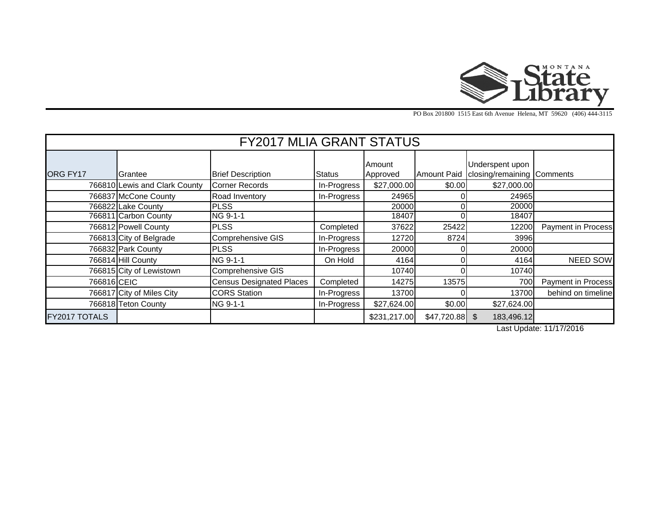

PO Box 201800 1515 East 6th Avenue Helena, MT 59620 (406) 444-3115

| <b>FY2017 MLIA GRANT STATUS</b> |                               |                                 |             |              |        |                                            |                    |  |  |  |  |  |
|---------------------------------|-------------------------------|---------------------------------|-------------|--------------|--------|--------------------------------------------|--------------------|--|--|--|--|--|
|                                 |                               |                                 |             | Amount       |        | Underspent upon                            |                    |  |  |  |  |  |
| ORG FY17                        | <b>I</b> Grantee              | <b>Brief Description</b>        | Status      | Approved     |        | Amount Paid   closing/remaining   Comments |                    |  |  |  |  |  |
|                                 | 766810 Lewis and Clark County | <b>Corner Records</b>           | In-Progress | \$27,000.00  | \$0.00 | \$27,000.00                                |                    |  |  |  |  |  |
|                                 | 766837 McCone County          | Road Inventory                  | In-Progress | 24965        |        | 24965                                      |                    |  |  |  |  |  |
|                                 | 766822 Lake County            | <b>PLSS</b>                     |             | 20000        |        | 20000                                      |                    |  |  |  |  |  |
|                                 | 766811 Carbon County          | NG 9-1-1                        |             | 18407        |        | 18407                                      |                    |  |  |  |  |  |
|                                 | 766812 Powell County          | <b>PLSS</b>                     | Completed   | 37622        | 25422  | 12200                                      | Payment in Process |  |  |  |  |  |
|                                 | 766813 City of Belgrade       | Comprehensive GIS               | In-Progress | 12720        | 8724   | 3996                                       |                    |  |  |  |  |  |
|                                 | 766832 Park County            | <b>PLSS</b>                     | In-Progress | 20000        |        | 20000                                      |                    |  |  |  |  |  |
|                                 | 766814 Hill County            | NG 9-1-1                        | On Hold     | 4164         |        | 4164                                       | <b>NEED SOW</b>    |  |  |  |  |  |
|                                 | 766815 City of Lewistown      | Comprehensive GIS               |             | 10740        |        | 10740                                      |                    |  |  |  |  |  |
| 766816 CEIC                     |                               | <b>Census Designated Places</b> | Completed   | 14275        | 13575  | 700                                        | Payment in Process |  |  |  |  |  |
|                                 | 766817 City of Miles City     | <b>CORS</b> Station             | In-Progress | 13700        |        | 13700                                      | behind on timeline |  |  |  |  |  |
|                                 | 766818 Teton County           | NG 9-1-1                        | In-Progress | \$27,624.00  | \$0.00 | \$27,624.00                                |                    |  |  |  |  |  |
| FY2017 TOTALS                   |                               |                                 |             | \$231,217.00 |        | 183,496.12                                 |                    |  |  |  |  |  |

Last Update: 11/17/2016